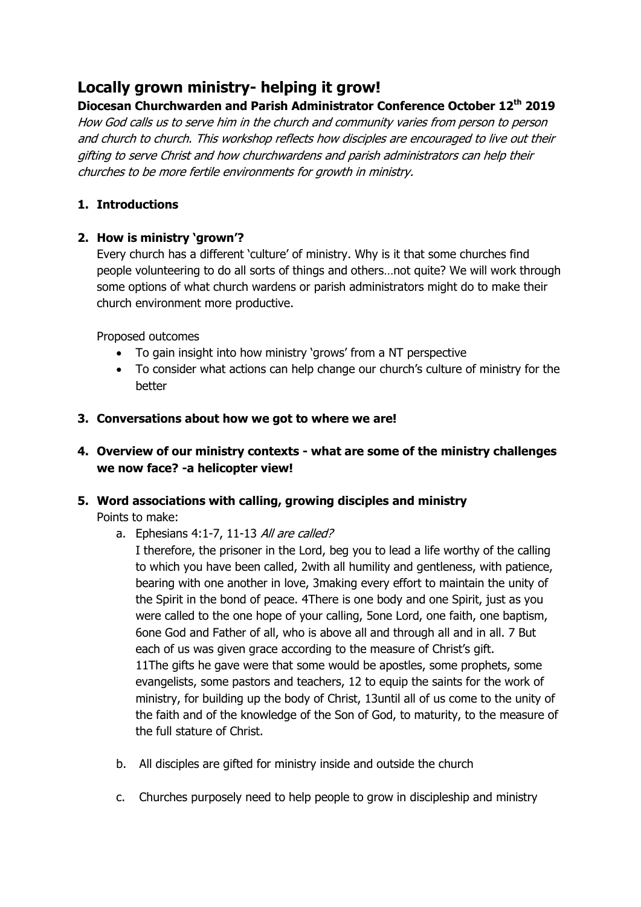# **Locally grown ministry- helping it grow!**

# **Diocesan Churchwarden and Parish Administrator Conference October 12th 2019**

How God calls us to serve him in the church and community varies from person to person and church to church. This workshop reflects how disciples are encouraged to live out their gifting to serve Christ and how churchwardens and parish administrators can help their churches to be more fertile environments for growth in ministry.

## **1. Introductions**

#### **2. How is ministry 'grown'?**

Every church has a different 'culture' of ministry. Why is it that some churches find people volunteering to do all sorts of things and others…not quite? We will work through some options of what church wardens or parish administrators might do to make their church environment more productive.

Proposed outcomes

- To gain insight into how ministry 'grows' from a NT perspective
- To consider what actions can help change our church's culture of ministry for the better

#### **3. Conversations about how we got to where we are!**

## **4. Overview of our ministry contexts - what are some of the ministry challenges we now face? -a helicopter view!**

## **5. Word associations with calling, growing disciples and ministry**

Points to make:

a. Ephesians 4:1-7, 11-13 All are called?

I therefore, the prisoner in the Lord, beg you to lead a life worthy of the calling to which you have been called, 2with all humility and gentleness, with patience, bearing with one another in love, 3making every effort to maintain the unity of the Spirit in the bond of peace. 4There is one body and one Spirit, just as you were called to the one hope of your calling, 5one Lord, one faith, one baptism, 6one God and Father of all, who is above all and through all and in all. 7 But each of us was given grace according to the measure of Christ's gift. 11The gifts he gave were that some would be apostles, some prophets, some evangelists, some pastors and teachers, 12 to equip the saints for the work of ministry, for building up the body of Christ, 13until all of us come to the unity of the faith and of the knowledge of the Son of God, to maturity, to the measure of the full stature of Christ.

- b. All disciples are gifted for ministry inside and outside the church
- c. Churches purposely need to help people to grow in discipleship and ministry